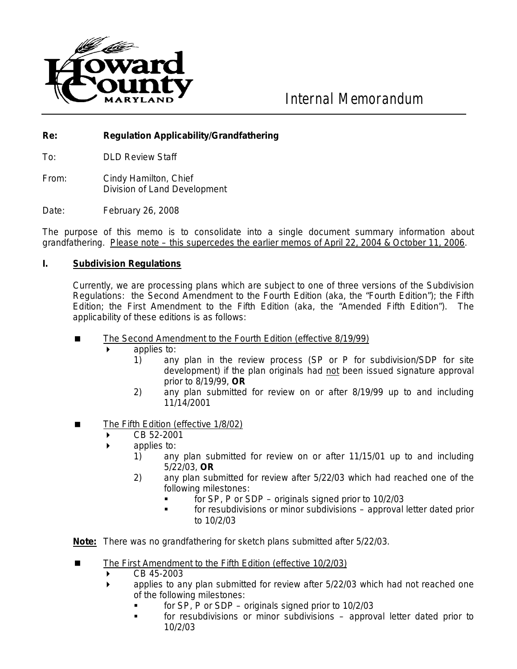

*Internal Memorandum*

## **Re: Regulation Applicability/Grandfathering**

To: DLD Review Staff

From: Cindy Hamilton, Chief Division of Land Development

Date: February 26, 2008

The purpose of this memo is to consolidate into a single document summary information about grandfathering. *Please note – this supercedes the earlier memos of April 22, 2004 & October 11, 2006*.

## **I. Subdivision Regulations**

Currently, we are processing plans which are subject to one of three versions of the Subdivision Regulations: the Second Amendment to the Fourth Edition (aka, the "Fourth Edition"); the Fifth Edition; the First Amendment to the Fifth Edition (aka, the "Amended Fifth Edition"). The applicability of these editions is as follows:

- $\blacksquare$ The Second Amendment to the Fourth Edition (effective 8/19/99)
	- applies to:
		- 1) any plan in the review process (SP or P for subdivision/SDP for site development) if the plan originals had not been issued signature approval prior to 8/19/99, **OR**
		- 2) any plan submitted for review on or after 8/19/99 up to and including 11/14/2001
- . The Fifth Edition (effective 1/8/02)
	- $\triangleright$  CB 52-2001
	- applies to:
		- 1) any plan submitted for review on or after 11/15/01 up to and including 5/22/03, **OR**
		- 2) any plan submitted for review after 5/22/03 which had reached one of the following milestones:
			- for SP, P or SDP originals signed prior to 10/2/03
			- **Fact of resubdivisions or minor subdivisions approval letter dated prior** to 10/2/03

**Note:** There was no grandfathering for sketch plans submitted after 5/22/03.

- $\blacksquare$ The First Amendment to the Fifth Edition (effective 10/2/03)
	- CB 45-2003
	- applies to any plan submitted for review after 5/22/03 which had not reached one of the following milestones:
		- for SP, P or SDP originals signed prior to 10/2/03
		- for resubdivisions or minor subdivisions approval letter dated prior to 10/2/03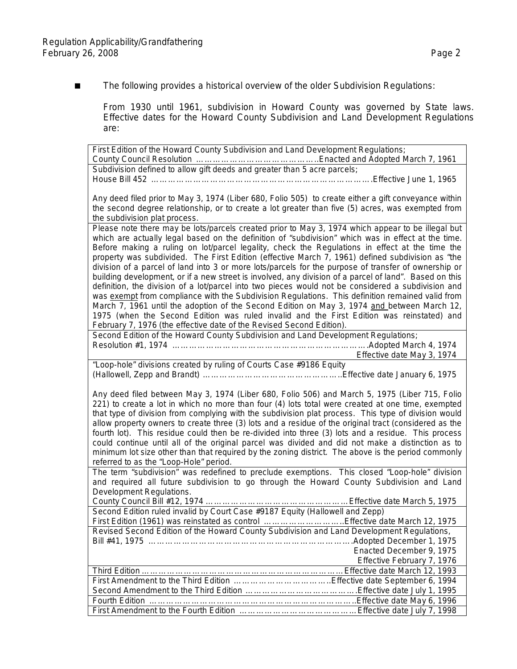■ The following provides a historical overview of the older Subdivision Regulations:

From 1930 until 1961, subdivision in Howard County was governed by State laws. Effective dates for the Howard County Subdivision and Land Development Regulations are:

First Edition of the Howard County Subdivision and Land Development Regulations; County Council Resolution ……………………………………..Enacted and Adopted March 7, 1961 Subdivision defined to allow gift deeds and greater than 5 acre parcels; House Bill 452 …………………………………………………………………….Effective June 1, 1965

Any deed filed prior to May 3, 1974 (Liber 680, Folio 505) to create either a gift conveyance within the second degree relationship, or to create a lot greater than five (5) acres, was exempted from the subdivision plat process.

Please note there may be lots/parcels created prior to May 3, 1974 which appear to be illegal but which are actually legal based on the definition of "subdivision" which was in effect at the time. Before making a ruling on lot/parcel legality, check the Regulations in effect at the time the property was subdivided. The First Edition (effective March 7, 1961) defined subdivision as "the division of a parcel of land into 3 or more lots/parcels for the purpose of transfer of ownership or building development, or if a new street is involved, any division of a parcel of land". Based on this definition, the division of a lot/parcel into two pieces would not be considered a subdivision and was exempt from compliance with the Subdivision Regulations. This definition remained valid from March 7, 1961 until the adoption of the Second Edition on May 3, 1974 and between March 12, 1975 (when the Second Edition was ruled invalid and the First Edition was reinstated) and February 7, 1976 (the effective date of the Revised Second Edition).

Second Edition of the Howard County Subdivision and Land Development Regulations; Resolution #1, 1974 …………………………………………………………….Adopted March 4, 1974 Effective date May 3, 1974

"Loop-hole" divisions created by ruling of Courts Case #9186 Equity (Hallowell, Zepp and Brandt) …………………………………………..Effective date January 6, 1975

Any deed filed between May 3, 1974 (Liber 680, Folio 506) and March 5, 1975 (Liber 715, Folio 221) to create a lot in which no more than four (4) lots total were created at one time, exempted that type of division from complying with the subdivision plat process. This type of division would allow property owners to create three (3) lots and a residue of the original tract (considered as the fourth lot). This residue could then be re-divided into three (3) lots and a residue. This process could continue until all of the original parcel was divided and did not make a distinction as to minimum lot size other than that required by the zoning district. The above is the period commonly referred to as the "Loop-Hole" period.

The term "subdivision" was redefined to preclude exemptions. This closed "Loop-hole" division and required all future subdivision to go through the Howard County Subdivision and Land Development Regulations.

County Council Bill #12, 1974 ……………………………………………Effective date March 5, 1975 Second Edition ruled invalid by Court Case #9187 Equity (Hallowell and Zepp) First Edition (1961) was reinstated as control ………………………..Effective date March 12, 1975 Revised Second Edition of the Howard County Subdivision and Land Development Regulations, Bill #41, 1975 ……………………………………………………………….Adopted December 1, 1975 Enacted December 9, 1975 Effective February 7, 1976 Third Edition ………………………………………………………………Effective date March 12, 1993 First Amendment to the Third Edition ……………………………..Effective date September 6, 1994

Second Amendment to the Third Edition ………………………………….Effective date July 1, 1995 Fourth Edition ………………………………………………………………..Effective date May 6, 1996 First Amendment to the Fourth Edition ……………………………………Effective date July 7, 1998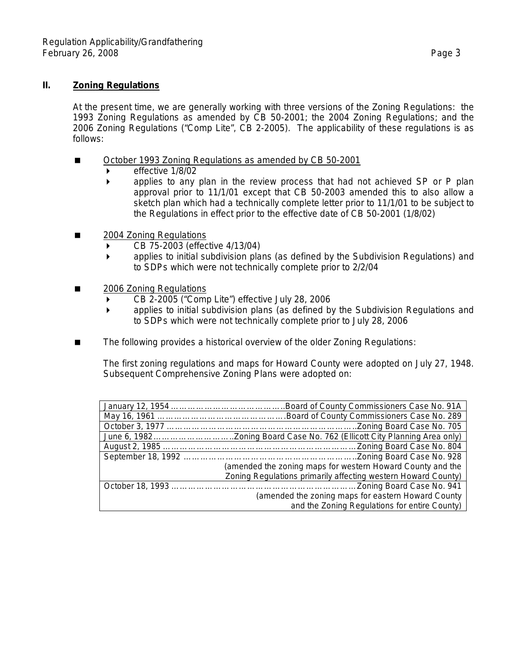## **II. Zoning Regulations**

At the present time, we are generally working with three versions of the Zoning Regulations: the 1993 Zoning Regulations as amended by CB 50-2001; the 2004 Zoning Regulations; and the 2006 Zoning Regulations ("Comp Lite", CB 2-2005). The applicability of these regulations is as follows:

- $\blacksquare$ October 1993 Zoning Regulations as amended by CB 50-2001
	- $\blacktriangleright$  effective 1/8/02
	- applies to any plan in the review process that had not achieved SP or P plan approval prior to 11/1/01 except that CB 50-2003 amended this to also allow a sketch plan which had a technically complete letter prior to 11/1/01 to be subject to the Regulations in effect prior to the effective date of CB 50-2001 (1/8/02)
- 2004 Zoning Regulations
	- CB 75-2003 (effective 4/13/04)
	- applies to initial subdivision plans (as defined by the Subdivision Regulations) and to SDPs which were not technically complete prior to 2/2/04
- 2006 Zoning Regulations
	- CB 2-2005 ("Comp Lite") effective July 28, 2006
	- applies to initial subdivision plans (as defined by the Subdivision Regulations and to SDPs which were not technically complete prior to July 28, 2006
- The following provides a historical overview of the older Zoning Regulations:

The first zoning regulations and maps for Howard County were adopted on July 27, 1948. Subsequent Comprehensive Zoning Plans were adopted on:

| (amended the zoning maps for western Howard County and the    |
|---------------------------------------------------------------|
| Zoning Regulations primarily affecting western Howard County) |
|                                                               |
| (amended the zoning maps for eastern Howard County            |
| and the Zoning Regulations for entire County)                 |